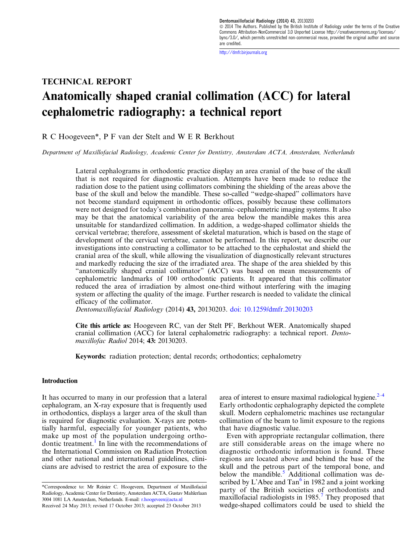Dentomaxillofacial Radiology (2014) 43, 20130203 ª 2014 The Authors. Published by the British Institute of Radiology under the terms of the Creative Commons Attribution-NonCommercial 3.0 Unported License http://creativecommons.org/licenses/ bync/3.0/, which permits unrestricted non-commercial reuse, provided the original author and source are credited.

<http://dmfr.birjournals.org>

# TECHNICAL REPORT Anatomically shaped cranial collimation (ACC) for lateral cephalometric radiography: a technical report

R C Hoogeveen\*, P F van der Stelt and W E R Berkhout

Department of Maxillofacial Radiology, Academic Center for Dentistry, Amsterdam ACTA, Amsterdam, Netherlands

Lateral cephalograms in orthodontic practice display an area cranial of the base of the skull that is not required for diagnostic evaluation. Attempts have been made to reduce the radiation dose to the patient using collimators combining the shielding of the areas above the base of the skull and below the mandible. These so-called "wedge-shaped" collimators have not become standard equipment in orthodontic offices, possibly because these collimators were not designed for today's combination panoramic–cephalometric imaging systems. It also may be that the anatomical variability of the area below the mandible makes this area unsuitable for standardized collimation. In addition, a wedge-shaped collimator shields the cervical vertebrae; therefore, assessment of skeletal maturation, which is based on the stage of development of the cervical vertebrae, cannot be performed. In this report, we describe our investigations into constructing a collimator to be attached to the cephalostat and shield the cranial area of the skull, while allowing the visualization of diagnostically relevant structures and markedly reducing the size of the irradiated area. The shape of the area shielded by this "anatomically shaped cranial collimator" (ACC) was based on mean measurements of cephalometric landmarks of 100 orthodontic patients. It appeared that this collimator reduced the area of irradiation by almost one-third without interfering with the imaging system or affecting the quality of the image. Further research is needed to validate the clinical efficacy of the collimator.

Dentomaxillofacial Radiology (2014) 43, 20130203. [doi: 10.1259/dmfr.20130203](http://dx.doi.org/10.1259/dmfr.20130203)

Cite this article as: Hoogeveen RC, van der Stelt PF, Berkhout WER. Anatomically shaped cranial collimation (ACC) for lateral cephalometric radiography: a technical report. Dentomaxillofac Radiol 2014; 43: 20130203.

Keywords: radiation protection; dental records; orthodontics; cephalometry

## Introduction

It has occurred to many in our profession that a lateral cephalogram, an X-ray exposure that is frequently used in orthodontics, displays a larger area of the skull than is required for diagnostic evaluation. X-rays are potentially harmful, especially for younger patients, who make up most of the population undergoing ortho-dontic treatment.<sup>[1](#page-6-0)</sup> In line with the recommendations of the International Commission on Radiation Protection and other national and international guidelines, clinicians are advised to restrict the area of exposure to the area of interest to ensure maximal radiological hygiene. $2-4$ Early orthodontic cephalography depicted the complete skull. Modern cephalometric machines use rectangular collimation of the beam to limit exposure to the regions that have diagnostic value.

Even with appropriate rectangular collimation, there are still considerable areas on the image where no diagnostic orthodontic information is found. These regions are located above and behind the base of the skull and the petrous part of the temporal bone, and below the mandible. $5$  Additional collimation was described by L'Abee and  $Tan<sup>6</sup>$  $Tan<sup>6</sup>$  $Tan<sup>6</sup>$  in 1982 and a joint working party of the British societies of orthodontists and maxillofacial radiologists in 1985.<sup>[7](#page-6-0)</sup> They proposed that wedge-shaped collimators could be used to shield the

<sup>\*</sup>Correspondence to: Mr Reinier C. Hoogeveen, Department of Maxillofacial Radiology, Academic Center for Dentistry, Amsterdam ACTA, Gustav Mahlerlaan 3004 1081 LA Amsterdam, Netherlands. E-mail: [r.hoogeveen@acta.nl](mailto:r.hoogeveen@acta.nl) Received 24 May 2013; revised 17 October 2013; accepted 23 October 2013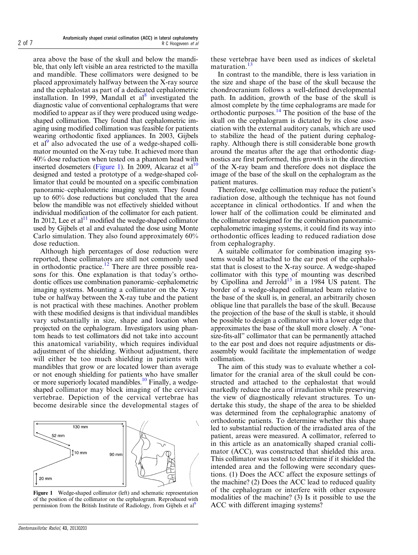area above the base of the skull and below the mandible, that only left visible an area restricted to the maxilla and mandible. These collimators were designed to be placed approximately halfway between the X-ray source and the cephalostat as part of a dedicated cephalometric installation. In 1999, Mandall et al<sup>[8](#page-6-0)</sup> investigated the diagnostic value of conventional cephalograms that were modified to appear as if they were produced using wedgeshaped collimation. They found that cephalometric imaging using modified collimation was feasible for patients wearing orthodontic fixed appliances. In 2003, Gijbels et al<sup>9</sup> also advocated the use of a wedge-shaped collimator mounted on the X-ray tube. It achieved more than 40% dose reduction when tested on a phantom head with inserted dosemeters (Figure 1). In 2009, Alcaraz et al<sup>10</sup> designed and tested a prototype of a wedge-shaped collimator that could be mounted on a specific combination panoramic–cephalometric imaging system. They found up to 60% dose reductions but concluded that the area below the mandible was not effectively shielded without individual modification of the collimator for each patient. In 2012, Lee et al<sup>11</sup> modified the wedge-shaped collimator used by Gijbels et al and evaluated the dose using Monte Carlo simulation. They also found approximately 60% dose reduction.

Although high percentages of dose reduction were reported, these collimators are still not commonly used in orthodontic practice.<sup>12</sup> There are three possible reasons for this. One explanation is that today's orthodontic offices use combination panoramic–cephalometric imaging systems. Mounting a collimator on the X-ray tube or halfway between the X-ray tube and the patient is not practical with these machines. Another problem with these modified designs is that individual mandibles vary substantially in size, shape and location when projected on the cephalogram. Investigators using phantom heads to test collimators did not take into account this anatomical variability, which requires individual adjustment of the shielding. Without adjustment, there will either be too much shielding in patients with mandibles that grow or are located lower than average or not enough shielding for patients who have smaller or more superiorly located mandibles.<sup>10</sup> Finally, a wedgeshaped collimator may block imaging of the cervical vertebrae. Depiction of the cervical vertebrae has become desirable since the developmental stages of



Figure 1 Wedge-shaped collimator (left) and schematic representation of the position of the collimator on the cephalogram. Reproduced with permission from the British Institute of Radiology, from Gijbels et al<sup>[9](#page-6-0)</sup>

these vertebrae have been used as indices of skeletal maturation.<sup>[13](#page-6-0)</sup>

In contrast to the mandible, there is less variation in the size and shape of the base of the skull because the chondrocranium follows a well-defined developmental path. In addition, growth of the base of the skull is almost complete by the time cephalograms are made for orthodontic purposes. $\frac{14}{1}$  $\frac{14}{1}$  $\frac{14}{1}$  The position of the base of the skull on the cephalogram is dictated by its close association with the external auditory canals, which are used to stabilize the head of the patient during cephalography. Although there is still considerable bone growth around the meatus after the age that orthodontic diagnostics are first performed, this growth is in the direction of the X-ray beam and therefore does not displace the image of the base of the skull on the cephalogram as the patient matures.

Therefore, wedge collimation may reduce the patient's radiation dose, although the technique has not found acceptance in clinical orthodontics. If and when the lower half of the collimation could be eliminated and the collimator redesigned for the combination panoramic– cephalometric imaging systems, it could find its way into orthodontic offices leading to reduced radiation dose from cephalography.

A suitable collimator for combination imaging systems would be attached to the ear post of the cephalostat that is closest to the X-ray source. A wedge-shaped collimator with this type of mounting was described by Cipollina and Jerrold<sup>[15](#page-6-0)</sup> in a 1984 US patent. The border of a wedge-shaped collimated beam relative to the base of the skull is, in general, an arbitrarily chosen oblique line that parallels the base of the skull. Because the projection of the base of the skull is stable, it should be possible to design a collimator with a lower edge that approximates the base of the skull more closely. A "onesize-fits-all" collimator that can be permanently attached to the ear post and does not require adjustments or disassembly would facilitate the implementation of wedge collimation.

The aim of this study was to evaluate whether a collimator for the cranial area of the skull could be constructed and attached to the cephalostat that would markedly reduce the area of irradiation while preserving the view of diagnostically relevant structures. To undertake this study, the shape of the area to be shielded was determined from the cephalographic anatomy of orthodontic patients. To determine whether this shape led to substantial reduction of the irradiated area of the patient, areas were measured. A collimator, referred to in this article as an anatomically shaped cranial collimator (ACC), was constructed that shielded this area. This collimator was tested to determine if it shielded the intended area and the following were secondary questions. (1) Does the ACC affect the exposure settings of the machine? (2) Does the ACC lead to reduced quality of the cephalogram or interfere with other exposure modalities of the machine? (3) Is it possible to use the ACC with different imaging systems?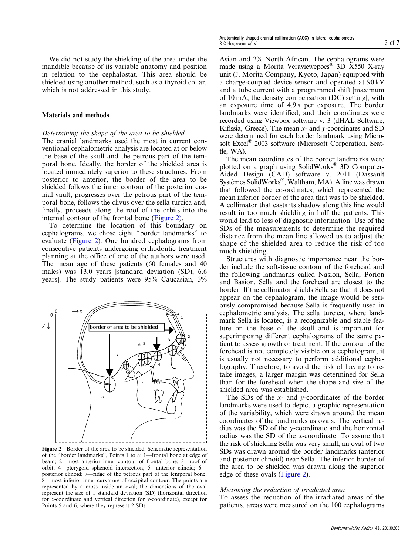We did not study the shielding of the area under the mandible because of its variable anatomy and position in relation to the cephalostat. This area should be shielded using another method, such as a thyroid collar, which is not addressed in this study.

#### Materials and methods

## Determining the shape of the area to be shielded

The cranial landmarks used the most in current conventional cephalometric analysis are located at or below the base of the skull and the petrous part of the temporal bone. Ideally, the border of the shielded area is located immediately superior to these structures. From posterior to anterior, the border of the area to be shielded follows the inner contour of the posterior cranial vault, progresses over the petrous part of the temporal bone, follows the clivus over the sella turcica and, finally, proceeds along the roof of the orbits into the internal contour of the frontal bone (Figure 2).

To determine the location of this boundary on cephalograms, we chose eight "border landmarks" to evaluate (Figure 2). One hundred cephalograms from consecutive patients undergoing orthodontic treatment planning at the office of one of the authors were used. The mean age of these patients (60 females and 40 males) was 13.0 years [standard deviation (SD), 6.6 years]. The study patients were 95% Caucasian, 3%



Figure 2 Border of the area to be shielded. Schematic representation of the "border landmarks", Points 1 to 8: 1—frontal bone at edge of beam; 2—most anterior inner contour of frontal bone; 3—roof of orbit; 4—pterygoid–sphenoid intersection; 5—anterior clinoid; 6 posterior clinoid; 7—ridge of the petrous part of the temporal bone; 8—most inferior inner curvature of occipital contour. The points are represented by a cross inside an oval; the dimensions of the oval represent the size of 1 standard deviation (SD) (horizontal direction for x-coordinate and vertical direction for  $y$ -coordinate), except for Points 5 and 6, where they represent 2 SDs

Asian and 2% North African. The cephalograms were made using a Morita Veraviewepocs® 3D X550 X-ray unit (J. Morita Company, Kyoto, Japan) equipped with a charge-coupled device sensor and operated at 90 kV and a tube current with a programmed shift [maximum of 10 mA, the density compensation (DC) setting], with an exposure time of 4.9 s per exposure. The border landmarks were identified, and their coordinates were recorded using Viewbox software v. 3 (dHAL Software, Kifissia, Greece). The mean  $x$ - and  $y$ -coordinates and SD were determined for each border landmark using Microsoft Excel® 2003 software (Microsoft Corporation, Seattle, WA).

The mean coordinates of the border landmarks were plotted on a graph using SolidWorks<sup>®</sup> 3D Computer-Aided Design (CAD) software v. 2011 (Dassault Systèmes SolidWorks $^{\circledR}$ , Waltham, MA). A line was drawn that followed the co-ordinates, which represented the mean inferior border of the area that was to be shielded. A collimator that casts its shadow along this line would result in too much shielding in half the patients. This would lead to loss of diagnostic information. Use of the SDs of the measurements to determine the required distance from the mean line allowed us to adjust the shape of the shielded area to reduce the risk of too much shielding.

Structures with diagnostic importance near the border include the soft-tissue contour of the forehead and the following landmarks called Nasion, Sella, Porion and Basion. Sella and the forehead are closest to the border. If the collimator shields Sella so that it does not appear on the cephalogram, the image would be seriously compromised because Sella is frequently used in cephalometric analysis. The sella turcica, where landmark Sella is located, is a recognizable and stable feature on the base of the skull and is important for superimposing different cephalograms of the same patient to assess growth or treatment. If the contour of the forehead is not completely visible on a cephalogram, it is usually not necessary to perform additional cephalography. Therefore, to avoid the risk of having to retake images, a larger margin was determined for Sella than for the forehead when the shape and size of the shielded area was established.

The SDs of the  $x$ - and  $y$ -coordinates of the border landmarks were used to depict a graphic representation of the variability, which were drawn around the mean coordinates of the landmarks as ovals. The vertical radius was the SD of the y-coordinate and the horizontal radius was the SD of the x-coordinate. To assure that the risk of shielding Sella was very small, an oval of two SDs was drawn around the border landmarks (anterior and posterior clinoid) near Sella. The inferior border of the area to be shielded was drawn along the superior edge of these ovals (Figure 2).

#### Measuring the reduction of irradiated area

To assess the reduction of the irradiated areas of the patients, areas were measured on the 100 cephalograms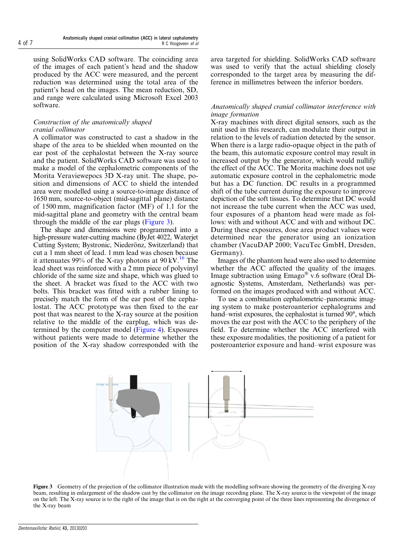using SolidWorks CAD software. The coinciding area of the images of each patient's head and the shadow produced by the ACC were measured, and the percent reduction was determined using the total area of the patient's head on the images. The mean reduction, SD, and range were calculated using Microsoft Excel 2003 software.

# Construction of the anatomically shaped cranial collimator

A collimator was constructed to cast a shadow in the shape of the area to be shielded when mounted on the ear post of the cephalostat between the X-ray source and the patient. SolidWorks CAD software was used to make a model of the cephalometric components of the Morita Veraviewepocs 3D X-ray unit. The shape, position and dimensions of ACC to shield the intended area were modelled using a source-to-image distance of 1650 mm, source-to-object (mid-sagittal plane) distance of 1500 mm, magnification factor (MF) of 1.1 for the mid-sagittal plane and geometry with the central beam through the middle of the ear plugs (Figure 3).

The shape and dimensions were programmed into a high-pressure water-cutting machine (ByJet 4022, Waterjet Cutting System; Bystronic, Niederönz, Switzerland) that cut a 1 mm sheet of lead. 1 mm lead was chosen because it attenuates 99% of the X-ray photons at  $90 \,\mathrm{kV}$ .<sup>[16](#page-6-0)</sup> The lead sheet was reinforced with a 2 mm piece of polyvinyl chloride of the same size and shape, which was glued to the sheet. A bracket was fixed to the ACC with two bolts. This bracket was fitted with a rubber lining to precisely match the form of the ear post of the cephalostat. The ACC prototype was then fixed to the ear post that was nearest to the X-ray source at the position relative to the middle of the earplug, which was determined by the computer model ([Figure 4\)](#page-4-0). Exposures without patients were made to determine whether the position of the X-ray shadow corresponded with the area targeted for shielding. SolidWorks CAD software was used to verify that the actual shielding closely corresponded to the target area by measuring the difference in millimetres between the inferior borders.

# Anatomically shaped cranial collimator interference with image formation

X-ray machines with direct digital sensors, such as the unit used in this research, can modulate their output in relation to the levels of radiation detected by the sensor. When there is a large radio-opaque object in the path of the beam, this automatic exposure control may result in increased output by the generator, which would nullify the effect of the ACC. The Morita machine does not use automatic exposure control in the cephalometric mode but has a DC function. DC results in a programmed shift of the tube current during the exposure to improve depiction of the soft tissues. To determine that DC would not increase the tube current when the ACC was used, four exposures of a phantom head were made as follows: with and without ACC and with and without DC. During these exposures, dose area product values were determined near the generator using an ionization chamber (VacuDAP 2000; VacuTec GmbH, Dresden, Germany).

Images of the phantom head were also used to determine whether the ACC affected the quality of the images. Image subtraction using Emago® v.6 software (Oral Diagnostic Systems, Amsterdam, Netherlands) was performed on the images produced with and without ACC.

To use a combination cephalometric–panoramic imaging system to make posteroanterior cephalograms and hand–wrist exposures, the cephalostat is turned 90°, which moves the ear post with the ACC to the periphery of the field. To determine whether the ACC interfered with these exposure modalities, the positioning of a patient for posteroanterior exposure and hand–wrist exposure was



Figure 3 Geometry of the projection of the collimator illustration made with the modelling software showing the geometry of the diverging X-ray beam, resulting in enlargement of the shadow cast by the collimator on the image recording plane. The X-ray source is the viewpoint of the image on the left. The X-ray source is to the right of the image that is on the right at the converging point of the three lines representing the divergence of the X-ray beam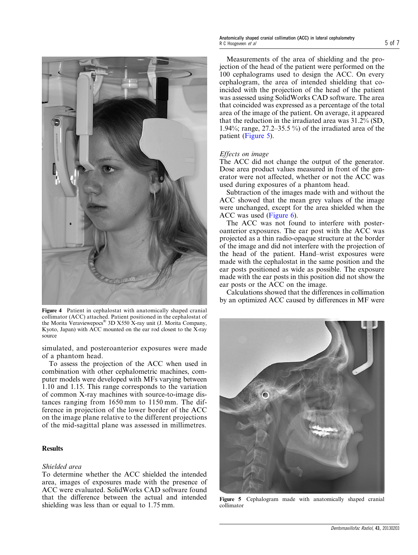<span id="page-4-0"></span>

Figure 4 Patient in cephalostat with anatomically shaped cranial collimator (ACC) attached. Patient positioned in the cephalostat of the Morita Veraviewepocs® 3D X550 X-ray unit (J. Morita Company, Kyoto, Japan) with ACC mounted on the ear rod closest to the X-ray source

simulated, and posteroanterior exposures were made of a phantom head.

To assess the projection of the ACC when used in combination with other cephalometric machines, computer models were developed with MFs varying between 1.10 and 1.15. This range corresponds to the variation of common X-ray machines with source-to-image distances ranging from 1650 mm to 1150 mm. The difference in projection of the lower border of the ACC on the image plane relative to the different projections of the mid-sagittal plane was assessed in millimetres.

# **Results**

## Shielded area

To determine whether the ACC shielded the intended area, images of exposures made with the presence of ACC were evaluated. SolidWorks CAD software found that the difference between the actual and intended shielding was less than or equal to 1.75 mm.

Measurements of the area of shielding and the projection of the head of the patient were performed on the 100 cephalograms used to design the ACC. On every cephalogram, the area of intended shielding that coincided with the projection of the head of the patient was assessed using SolidWorks CAD software. The area that coincided was expressed as a percentage of the total area of the image of the patient. On average, it appeared that the reduction in the irradiated area was 31.2% (SD, 1.94%; range, 27.2–35.5 %) of the irradiated area of the patient (Figure 5).

## Effects on image

The ACC did not change the output of the generator. Dose area product values measured in front of the generator were not affected, whether or not the ACC was used during exposures of a phantom head.

Subtraction of the images made with and without the ACC showed that the mean grey values of the image were unchanged, except for the area shielded when the ACC was used ([Figure 6](#page-5-0)).

The ACC was not found to interfere with posteroanterior exposures. The ear post with the ACC was projected as a thin radio-opaque structure at the border of the image and did not interfere with the projection of the head of the patient. Hand–wrist exposures were made with the cephalostat in the same position and the ear posts positioned as wide as possible. The exposure made with the ear posts in this position did not show the ear posts or the ACC on the image.

Calculations showed that the differences in collimation by an optimized ACC caused by differences in MF were



Figure 5 Cephalogram made with anatomically shaped cranial collimator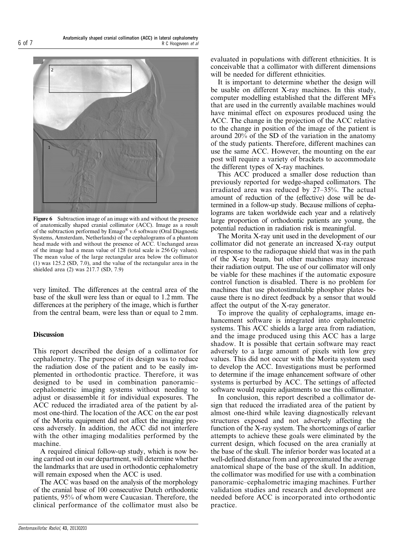<span id="page-5-0"></span>

Figure 6 Subtraction image of an image with and without the presence of anatomically shaped cranial collimator (ACC). Image as a result of the subtraction performed by Emago® v.6 software (Oral Diagnostic Systems, Amsterdam, Netherlands) of the cephalograms of a phantom head made with and without the presence of ACC. Unchanged areas of the image had a mean value of 128 (total scale is 256 Gy values). The mean value of the large rectangular area below the collimator (1) was 125.2 (SD, 7.0), and the value of the rectangular area in the shielded area (2) was 217.7 (SD, 7.9)

very limited. The differences at the central area of the base of the skull were less than or equal to 1.2 mm. The differences at the periphery of the image, which is further from the central beam, were less than or equal to 2 mm.

## **Discussion**

This report described the design of a collimator for cephalometry. The purpose of its design was to reduce the radiation dose of the patient and to be easily implemented in orthodontic practice. Therefore, it was designed to be used in combination panoramic– cephalometric imaging systems without needing to adjust or disassemble it for individual exposures. The ACC reduced the irradiated area of the patient by almost one-third. The location of the ACC on the ear post of the Morita equipment did not affect the imaging process adversely. In addition, the ACC did not interfere with the other imaging modalities performed by the machine.

A required clinical follow-up study, which is now being carried out in our department, will determine whether the landmarks that are used in orthodontic cephalometry will remain exposed when the ACC is used.

The ACC was based on the analysis of the morphology of the cranial base of 100 consecutive Dutch orthodontic patients, 95% of whom were Caucasian. Therefore, the clinical performance of the collimator must also be evaluated in populations with different ethnicities. It is conceivable that a collimator with different dimensions will be needed for different ethnicities.

It is important to determine whether the design will be usable on different X-ray machines. In this study, computer modelling established that the different MFs that are used in the currently available machines would have minimal effect on exposures produced using the ACC. The change in the projection of the ACC relative to the change in position of the image of the patient is around 20% of the SD of the variation in the anatomy of the study patients. Therefore, different machines can use the same ACC. However, the mounting on the ear post will require a variety of brackets to accommodate the different types of X-ray machines.

This ACC produced a smaller dose reduction than previously reported for wedge-shaped collimators. The irradiated area was reduced by 27–35%. The actual amount of reduction of the (effective) dose will be determined in a follow-up study. Because millions of cephalograms are taken worldwide each year and a relatively large proportion of orthodontic patients are young, the potential reduction in radiation risk is meaningful.

The Morita X-ray unit used in the development of our collimator did not generate an increased X-ray output in response to the radiopaque shield that was in the path of the X-ray beam, but other machines may increase their radiation output. The use of our collimator will only be viable for these machines if the automatic exposure control function is disabled. There is no problem for machines that use photostimulable phosphor plates because there is no direct feedback by a sensor that would affect the output of the X-ray generator.

To improve the quality of cephalograms, image enhancement software is integrated into cephalometric systems. This ACC shields a large area from radiation, and the image produced using this ACC has a large shadow. It is possible that certain software may react adversely to a large amount of pixels with low grey values. This did not occur with the Morita system used to develop the ACC. Investigations must be performed to determine if the image enhancement software of other systems is perturbed by ACC. The settings of affected software would require adjustments to use this collimator.

In conclusion, this report described a collimator design that reduced the irradiated area of the patient by almost one-third while leaving diagnostically relevant structures exposed and not adversely affecting the function of the X-ray system. The shortcomings of earlier attempts to achieve these goals were eliminated by the current design, which focused on the area cranially at the base of the skull. The inferior border was located at a well-defined distance from and approximated the average anatomical shape of the base of the skull. In addition, the collimator was modified for use with a combination panoramic–cephalometric imaging machines. Further validation studies and research and development are needed before ACC is incorporated into orthodontic practice.